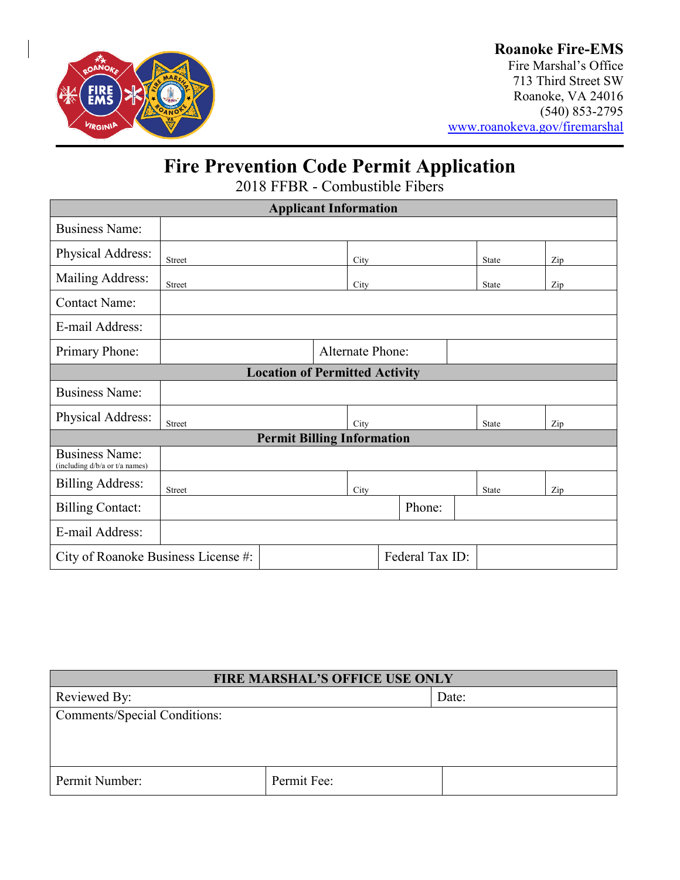

### **Roanoke Fire-EMS**

Fire Marshal's Office 713 Third Street SW Roanoke, VA 24016 (540) 853-2795 [www.roanokeva.gov/firemarshal](http://www.roanokeva.gov/firemarshal)

## **Fire Prevention Code Permit Application**

2018 FFBR - Combustible Fibers

| <b>Applicant Information</b>                            |               |  |                         |        |  |       |              |     |     |  |
|---------------------------------------------------------|---------------|--|-------------------------|--------|--|-------|--------------|-----|-----|--|
| <b>Business Name:</b>                                   |               |  |                         |        |  |       |              |     |     |  |
| Physical Address:                                       | <b>Street</b> |  |                         | City   |  |       | State        |     | Zip |  |
| Mailing Address:                                        | Street        |  |                         | City   |  |       | <b>State</b> |     | Zip |  |
| <b>Contact Name:</b>                                    |               |  |                         |        |  |       |              |     |     |  |
| E-mail Address:                                         |               |  |                         |        |  |       |              |     |     |  |
| Primary Phone:                                          |               |  | <b>Alternate Phone:</b> |        |  |       |              |     |     |  |
| <b>Location of Permitted Activity</b>                   |               |  |                         |        |  |       |              |     |     |  |
| <b>Business Name:</b>                                   |               |  |                         |        |  |       |              |     |     |  |
| Physical Address:                                       | Street        |  |                         | City   |  | State |              | Zip |     |  |
| <b>Permit Billing Information</b>                       |               |  |                         |        |  |       |              |     |     |  |
| <b>Business Name:</b><br>(including d/b/a or t/a names) |               |  |                         |        |  |       |              |     |     |  |
| <b>Billing Address:</b>                                 | <b>Street</b> |  |                         | City   |  |       | State        |     | Zip |  |
| <b>Billing Contact:</b>                                 |               |  |                         | Phone: |  |       |              |     |     |  |
| E-mail Address:                                         |               |  |                         |        |  |       |              |     |     |  |
| Federal Tax ID:<br>City of Roanoke Business License #:  |               |  |                         |        |  |       |              |     |     |  |

| <b>FIRE MARSHAL'S OFFICE USE ONLY</b> |             |       |  |  |
|---------------------------------------|-------------|-------|--|--|
| Reviewed By:                          |             | Date: |  |  |
| <b>Comments/Special Conditions:</b>   |             |       |  |  |
|                                       |             |       |  |  |
|                                       |             |       |  |  |
| Permit Number:                        | Permit Fee: |       |  |  |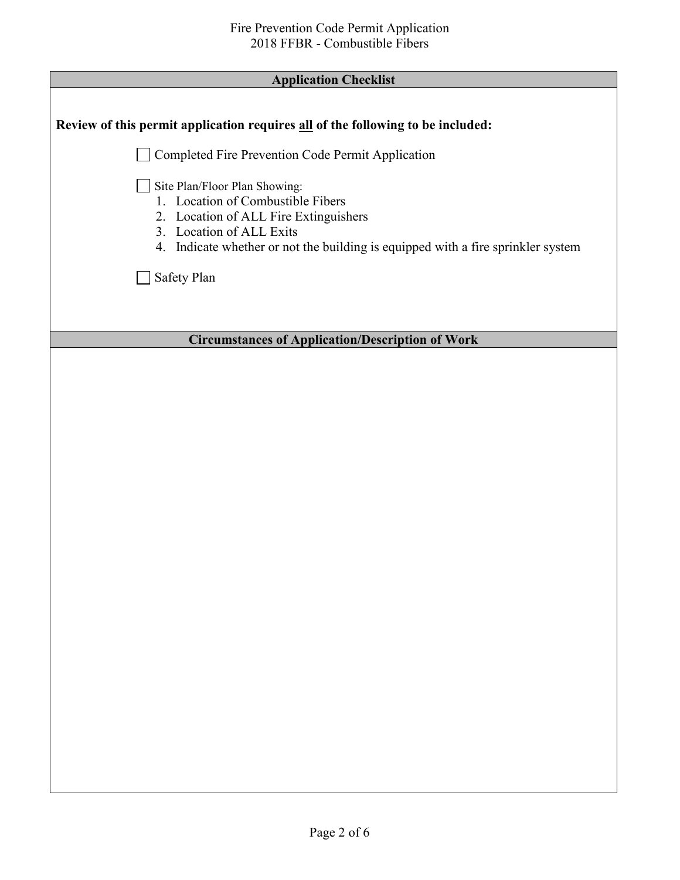| <b>Application Checklist</b>                                                                                                                                                                                                |  |  |  |
|-----------------------------------------------------------------------------------------------------------------------------------------------------------------------------------------------------------------------------|--|--|--|
|                                                                                                                                                                                                                             |  |  |  |
| Review of this permit application requires all of the following to be included:                                                                                                                                             |  |  |  |
| Completed Fire Prevention Code Permit Application                                                                                                                                                                           |  |  |  |
| Site Plan/Floor Plan Showing:<br>1. Location of Combustible Fibers<br>2. Location of ALL Fire Extinguishers<br>3. Location of ALL Exits<br>4. Indicate whether or not the building is equipped with a fire sprinkler system |  |  |  |
| Safety Plan                                                                                                                                                                                                                 |  |  |  |
|                                                                                                                                                                                                                             |  |  |  |
| <b>Circumstances of Application/Description of Work</b>                                                                                                                                                                     |  |  |  |
|                                                                                                                                                                                                                             |  |  |  |
|                                                                                                                                                                                                                             |  |  |  |
|                                                                                                                                                                                                                             |  |  |  |
|                                                                                                                                                                                                                             |  |  |  |
|                                                                                                                                                                                                                             |  |  |  |
|                                                                                                                                                                                                                             |  |  |  |
|                                                                                                                                                                                                                             |  |  |  |
|                                                                                                                                                                                                                             |  |  |  |
|                                                                                                                                                                                                                             |  |  |  |
|                                                                                                                                                                                                                             |  |  |  |
|                                                                                                                                                                                                                             |  |  |  |
|                                                                                                                                                                                                                             |  |  |  |
|                                                                                                                                                                                                                             |  |  |  |
|                                                                                                                                                                                                                             |  |  |  |
|                                                                                                                                                                                                                             |  |  |  |
|                                                                                                                                                                                                                             |  |  |  |
|                                                                                                                                                                                                                             |  |  |  |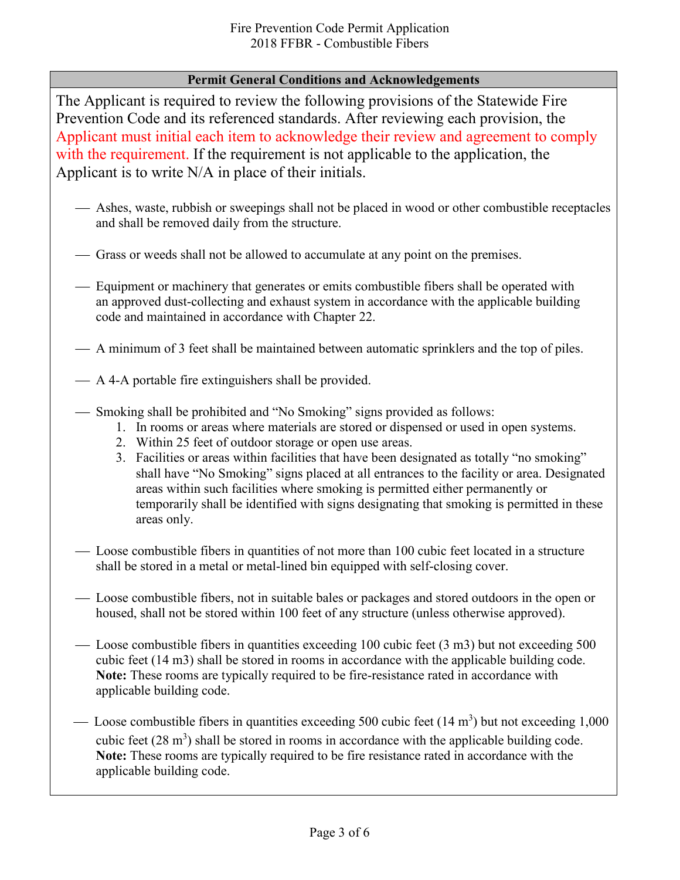### **Permit General Conditions and Acknowledgements**

The Applicant is required to review the following provisions of the Statewide Fire Prevention Code and its referenced standards. After reviewing each provision, the Applicant must initial each item to acknowledge their review and agreement to comply with the requirement. If the requirement is not applicable to the application, the Applicant is to write N/A in place of their initials.

- Ashes, waste, rubbish or sweepings shall not be placed in wood or other combustible receptacles and shall be removed daily from the structure.
- Grass or weeds shall not be allowed to accumulate at any point on the premises.
- Equipment or machinery that generates or emits combustible fibers shall be operated with an approved dust-collecting and exhaust system in accordance with the applicable building code and maintained in accordance with Chapter 22.
- A minimum of 3 feet shall be maintained between automatic sprinklers and the top of piles.
- A 4-A portable fire extinguishers shall be provided.
- Smoking shall be prohibited and "No Smoking" signs provided as follows:
	- 1. In rooms or areas where materials are stored or dispensed or used in open systems.
	- 2. Within 25 feet of outdoor storage or open use areas.
	- 3. Facilities or areas within facilities that have been designated as totally "no smoking" shall have "No Smoking" signs placed at all entrances to the facility or area. Designated areas within such facilities where smoking is permitted either permanently or temporarily shall be identified with signs designating that smoking is permitted in these areas only.
- Loose combustible fibers in quantities of not more than 100 cubic feet located in a structure shall be stored in a metal or metal-lined bin equipped with self-closing cover.
- Loose combustible fibers, not in suitable bales or packages and stored outdoors in the open or housed, shall not be stored within 100 feet of any structure (unless otherwise approved).
- Loose combustible fibers in quantities exceeding 100 cubic feet (3 m3) but not exceeding 500 cubic feet (14 m3) shall be stored in rooms in accordance with the applicable building code. **Note:** These rooms are typically required to be fire-resistance rated in accordance with applicable building code.
- Loose combustible fibers in quantities exceeding 500 cubic feet  $(14 \text{ m}^3)$  but not exceeding 1,000 cubic feet  $(28 \text{ m}^3)$  shall be stored in rooms in accordance with the applicable building code. **Note:** These rooms are typically required to be fire resistance rated in accordance with the applicable building code.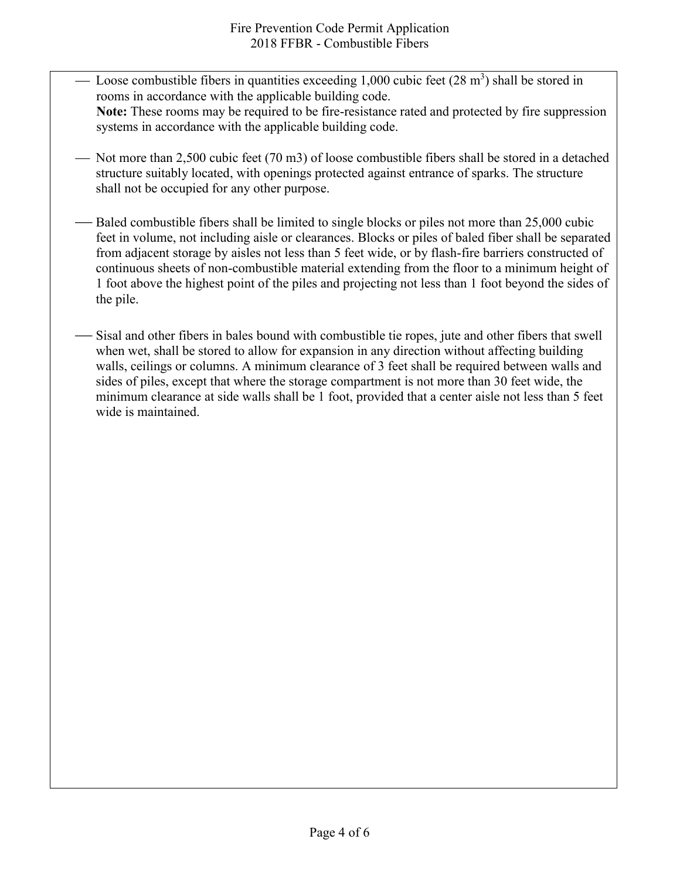- Loose combustible fibers in quantities exceeding 1,000 cubic feet  $(28 \text{ m}^3)$  shall be stored in rooms in accordance with the applicable building code. **Note:** These rooms may be required to be fire-resistance rated and protected by fire suppression systems in accordance with the applicable building code.
- $-$  Not more than 2,500 cubic feet (70 m3) of loose combustible fibers shall be stored in a detached structure suitably located, with openings protected against entrance of sparks. The structure shall not be occupied for any other purpose.
- Baled combustible fibers shall be limited to single blocks or piles not more than 25,000 cubic feet in volume, not including aisle or clearances. Blocks or piles of baled fiber shall be separated from adjacent storage by aisles not less than 5 feet wide, or by flash-fire barriers constructed of continuous sheets of non-combustible material extending from the floor to a minimum height of 1 foot above the highest point of the piles and projecting not less than 1 foot beyond the sides of the pile.
- Sisal and other fibers in bales bound with combustible tie ropes, jute and other fibers that swell when wet, shall be stored to allow for expansion in any direction without affecting building walls, ceilings or columns. A minimum clearance of 3 feet shall be required between walls and sides of piles, except that where the storage compartment is not more than 30 feet wide, the minimum clearance at side walls shall be 1 foot, provided that a center aisle not less than 5 feet wide is maintained.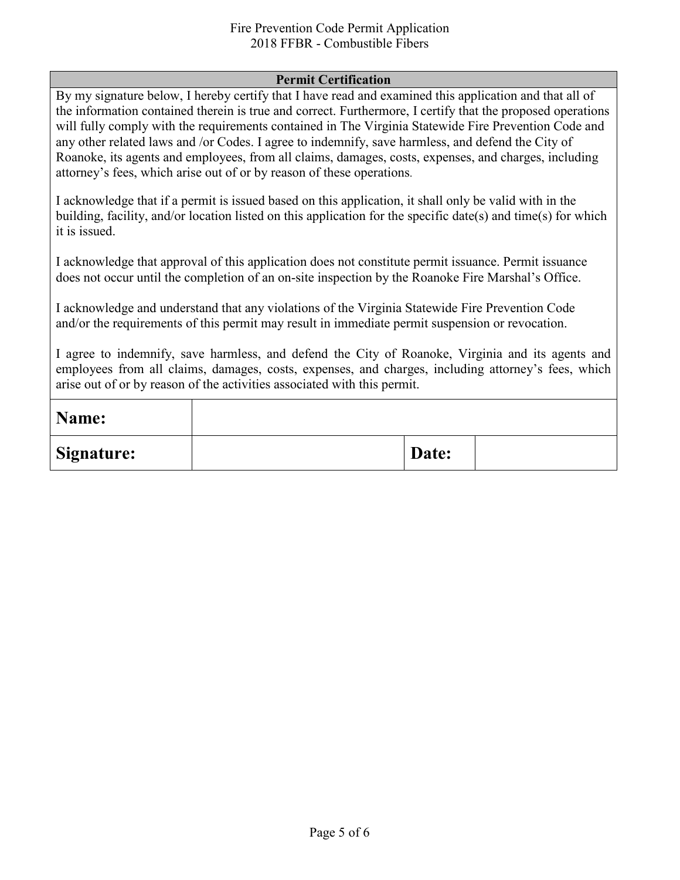#### Fire Prevention Code Permit Application 2018 FFBR - Combustible Fibers

#### **Permit Certification**

By my signature below, I hereby certify that I have read and examined this application and that all of the information contained therein is true and correct. Furthermore, I certify that the proposed operations will fully comply with the requirements contained in The Virginia Statewide Fire Prevention Code and any other related laws and /or Codes. I agree to indemnify, save harmless, and defend the City of Roanoke, its agents and employees, from all claims, damages, costs, expenses, and charges, including attorney's fees, which arise out of or by reason of these operations.

I acknowledge that if a permit is issued based on this application, it shall only be valid with in the building, facility, and/or location listed on this application for the specific date(s) and time(s) for which it is issued.

I acknowledge that approval of this application does not constitute permit issuance. Permit issuance does not occur until the completion of an on-site inspection by the Roanoke Fire Marshal's Office.

I acknowledge and understand that any violations of the Virginia Statewide Fire Prevention Code and/or the requirements of this permit may result in immediate permit suspension or revocation.

I agree to indemnify, save harmless, and defend the City of Roanoke, Virginia and its agents and employees from all claims, damages, costs, expenses, and charges, including attorney's fees, which arise out of or by reason of the activities associated with this permit.

| Name:             |       |  |
|-------------------|-------|--|
| <b>Signature:</b> | Date: |  |